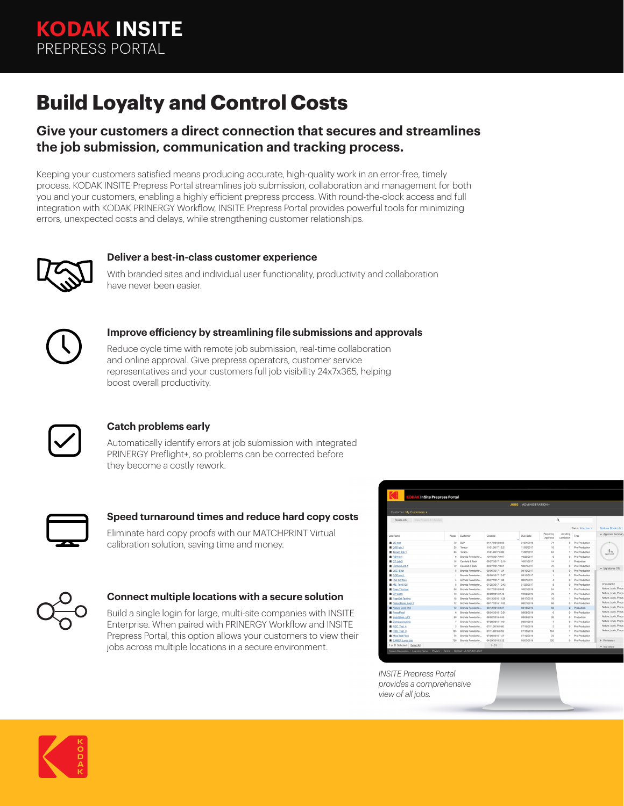# **Build Loyalty and Control Costs**

### **Give your customers a direct connection that secures and streamlines the job submission, communication and tracking process.**

Keeping your customers satisfied means producing accurate, high-quality work in an error-free, timely process. KODAK INSITE Prepress Portal streamlines job submission, collaboration and management for both you and your customers, enabling a highly efficient prepress process. With round-the-clock access and full integration with KODAK PRINERGY Workflow, INSITE Prepress Portal provides powerful tools for minimizing errors, unexpected costs and delays, while strengthening customer relationships.



#### **Deliver a best-in-class customer experience**

With branded sites and individual user functionality, productivity and collaboration have never been easier.



#### **Improve efficiency by streamlining file submissions and approvals**

Reduce cycle time with remote job submission, real-time collaboration and online approval. Give prepress operators, customer service representatives and your customers full job visibility 24x7x365, helping boost overall productivity.



#### **Catch problems early**

Automatically identify errors at job submission with integrated PRINERGY Preflight+, so problems can be corrected before they become a costly rework.



#### **Speed turnaround times and reduce hard copy costs**

Eliminate hard copy proofs with our MATCHPRINT Virtual calibration solution, saving time and money.



#### **Connect multiple locations with a secure solution**

Build a single login for large, multi-site companies with INSITE Enterprise. When paired with PRINERGY Workflow and INSITE Prepress Portal, this option allows your customers to view their jobs across multiple locations in a secure environment.

| <b>KODAK InSite Prepress Portal</b>               |                                        |                          |                  |            |  |                       |                        |                      |                            |
|---------------------------------------------------|----------------------------------------|--------------------------|------------------|------------|--|-----------------------|------------------------|----------------------|----------------------------|
|                                                   | <b>ADMINISTRATION -</b><br><b>JOBS</b> |                          |                  |            |  |                       |                        |                      |                            |
| Customer: My Customers -                          |                                        |                          |                  |            |  |                       |                        |                      |                            |
| Create Job<br>View Projects & Libraries           | Q                                      |                          |                  |            |  |                       |                        |                      |                            |
|                                                   |                                        |                          |                  |            |  |                       |                        | Status: All Active v | Nature Book (4c)           |
| <b>Job Name</b>                                   | Pages                                  | Customer                 | Created          | Due Date   |  | Requiring<br>Approval | Awalting<br>Correction | Type                 | - Approval Summary         |
| <b>OR JIS test</b>                                | 72                                     | <b>BLP</b>               | 01/17/2018 8:39  | 01/21/2018 |  | 71                    | $\theta$               | Pre-Production       |                            |
| <b>DPP</b> job 1                                  | 25                                     | Tenaco                   | 11/01/2017 12:21 | 11/05/2017 |  | 19                    |                        | Pre-Production       | 1 <sub>1</sub><br>Accepved |
| Teraco Job 1                                      | 65                                     | Tenaco                   | 11/01/2017 8:28  | 11/05/2017 |  | 64                    |                        | Pre-Production       |                            |
| <b>B</b> RBA test                                 | $\alpha$                               | Brenda Powderho          | 10/16/2017 9:07  | 10/20/2017 |  | a,                    | $\Omega$               | Pre-Production       |                            |
| <b>III</b> CT Job 3                               | 16                                     | Cardeld & Tack           | 09/27/2017 12:10 | 10/01/2017 |  | 14                    |                        | Production           |                            |
| Canfield Job 1                                    | 72                                     | Canfield & Tack          | 09/27/2017 9:31  | 10/01/2017 |  | 72                    | $\Omega$               | Pre-Production       |                            |
| <b>B</b> LSC Sept                                 | 8                                      | Brenda Powderho          | 09/06/2017 1:24  | 09/10/2017 |  | $\mathbf{8}$          | O                      | Pre-Production       | $\sim$ Signatures (11)     |
| <b>B</b> POP test 1                               | х.                                     | Brenda Powderho          | 08/08/2017 10:37 | 08/12/2017 |  | 1                     | $\circ$                | Pre-Production       |                            |
| <b>R</b> Pkg test files                           | 4                                      | <b>Brenda Powderbo</b>   | 03/27/2017 1:38  | 03/31/2017 |  | $\overline{4}$        | $\Omega$               | Pre-Production       |                            |
| <b>OR ME Test0125</b>                             | a.                                     | Brenda Powderho          | 01/25/2017 10:42 | 01/29/2017 |  | a                     | $\Omega$               | Pre-Production       | Unassigned                 |
| <b>B</b> Page Trim test                           | R6                                     | Brenda Powderho          | 10/17/2016 9:09  | 10/21/2016 |  | 54                    |                        | Pre-Production       | Nature book Preps.         |
| <b>BR</b> BP test 3                               | 76                                     | Brenda Powderho          | 09/28/2016 2:49  | 10/02/2016 |  | 70                    | ×.                     | Pre-Production       | Nature book Preps.         |
| <b>Canadat Testing</b>                            | 18                                     | Brenda Powderho          | 09/13/2016 11:36 | 09/17/2016 |  | 16                    | ×.                     | Pre-Production       | Nature book Preps          |
| NatureBook Aug17                                  | 72                                     | Brenda Powderbo          | 08/17/2016 11:32 | 08/21/2016 |  | 68                    | $\alpha$               | Pre-Production       | Nature book Preps.         |
| Nature Book (4c)                                  | 72                                     | Brenda Powderho          | 08/12/2016 8:37  | 08/16/2016 |  | 68                    | $\overline{c}$         | Production           | Nature book Preps.         |
| <b>OR</b> PressProof                              | A.                                     | Ronoda Powderbo          | 08/04/2016 10:34 | 08/08/2016 |  | A.                    | $\Omega$               | Pre-Production       | Nature_book_Preps.         |
| <b>B</b> SportShop LPV                            | 20                                     | Brenda Powderho          | 08/02/2016 4:00  | 08/06/2016 |  | 39                    | $\alpha$               | Production           | Nature book Preps          |
| Compare testing                                   | $\overline{\tau}$                      | Brenda Powderho          | 07/28/2016 11:01 | 08/01/2016 |  | $\overline{z}$        | $\theta$               | Pre-Production       | Nature book Preps          |
| <b>B</b> PDC Test 4                               | $\mathbf{z}$                           | Brenda Powderbo          | 07/11/2016 9:00  | 07/15/2016 |  | $\mathbf{z}$          | O                      | Pre-Production       | Nature book Preps.         |
| <b>B</b> PDC Test 3                               | 105                                    | Brenda Powderho          | 07/11/2016 8:53  | 07/15/2016 |  | 104                   |                        | Pre-Production       | Nature_book_Preps          |
| <b>B</b> Misc Test Files                          | 76                                     | Rennda Powderho          | 07/08/2016 1:37  | 07/12/2016 |  | 72                    | A.                     | Pre-Production       |                            |
| <b>EAMER Large Job</b>                            | 720                                    | Brenda Powderho          | 04/29/2016 2:22  | 05/03/2016 |  | 720                   | $\Omega$               | Pre-Production       | > Reviewers                |
| 1 of 31 Selected<br>Select All                    |                                        |                          | $1 - 31$         |            |  |                       |                        |                      | This Sheet                 |
| Privacy  <br>System Diagnostics   Learning Center | Terms                                  | Contact: +1-555-123-4567 |                  |            |  |                       |                        |                      |                            |

*INSITE Prepress Portal provides a comprehensive view of all jobs.*